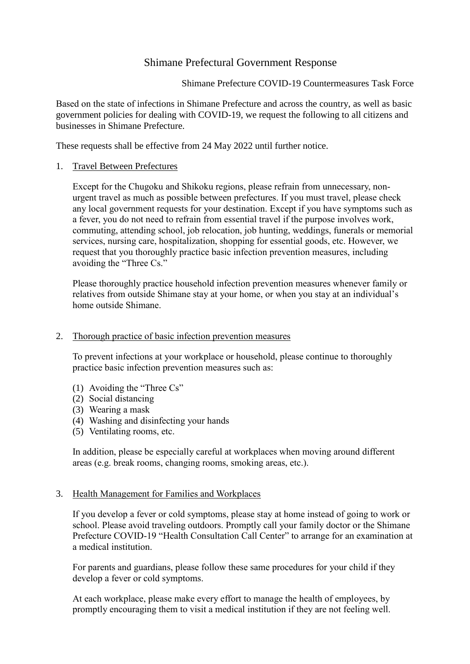# Shimane Prefectural Government Response

Shimane Prefecture COVID-19 Countermeasures Task Force

Based on the state of infections in Shimane Prefecture and across the country, as well as basic government policies for dealing with COVID-19, we request the following to all citizens and businesses in Shimane Prefecture.

These requests shall be effective from 24 May 2022 until further notice.

#### 1. Travel Between Prefectures

Except for the Chugoku and Shikoku regions, please refrain from unnecessary, nonurgent travel as much as possible between prefectures. If you must travel, please check any local government requests for your destination. Except if you have symptoms such as a fever, you do not need to refrain from essential travel if the purpose involves work, commuting, attending school, job relocation, job hunting, weddings, funerals or memorial services, nursing care, hospitalization, shopping for essential goods, etc. However, we request that you thoroughly practice basic infection prevention measures, including avoiding the "Three Cs."

Please thoroughly practice household infection prevention measures whenever family or relatives from outside Shimane stay at your home, or when you stay at an individual's home outside Shimane.

#### 2. Thorough practice of basic infection prevention measures

To prevent infections at your workplace or household, please continue to thoroughly practice basic infection prevention measures such as:

- (1) Avoiding the "Three Cs"
- (2) Social distancing
- (3) Wearing a mask
- (4) Washing and disinfecting your hands
- (5) Ventilating rooms, etc.

In addition, please be especially careful at workplaces when moving around different areas (e.g. break rooms, changing rooms, smoking areas, etc.).

#### 3. Health Management for Families and Workplaces

If you develop a fever or cold symptoms, please stay at home instead of going to work or school. Please avoid traveling outdoors. Promptly call your family doctor or the Shimane Prefecture COVID-19 "Health Consultation Call Center" to arrange for an examination at a medical institution.

For parents and guardians, please follow these same procedures for your child if they develop a fever or cold symptoms.

At each workplace, please make every effort to manage the health of employees, by promptly encouraging them to visit a medical institution if they are not feeling well.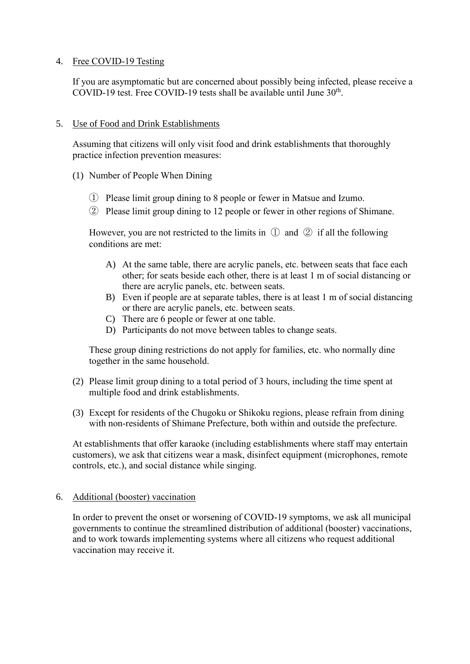# 4. Free COVID-19 Testing

If you are asymptomatic but are concerned about possibly being infected, please receive a COVID-19 test. Free COVID-19 tests shall be available until June  $30<sup>th</sup>$ .

#### 5. Use of Food and Drink Establishments

Assuming that citizens will only visit food and drink establishments that thoroughly practice infection prevention measures:

- (1) Number of People When Dining
	- ① Please limit group dining to 8 people or fewer in Matsue and Izumo.
	- ② Please limit group dining to 12 people or fewer in other regions of Shimane.

However, you are not restricted to the limits in  $\mathbb D$  and  $\mathbb Q$  if all the following conditions are met:

- A) At the same table, there are acrylic panels, etc. between seats that face each other; for seats beside each other, there is at least 1 m of social distancing or there are acrylic panels, etc. between seats.
- B) Even if people are at separate tables, there is at least 1 m of social distancing or there are acrylic panels, etc. between seats.
- C) There are 6 people or fewer at one table.
- D) Participants do not move between tables to change seats.

These group dining restrictions do not apply for families, etc. who normally dine together in the same household.

- (2) Please limit group dining to a total period of 3 hours, including the time spent at multiple food and drink establishments.
- (3) Except for residents of the Chugoku or Shikoku regions, please refrain from dining with non-residents of Shimane Prefecture, both within and outside the prefecture.

At establishments that offer karaoke (including establishments where staff may entertain customers), we ask that citizens wear a mask, disinfect equipment (microphones, remote controls, etc.), and social distance while singing.

# 6. Additional (booster) vaccination

In order to prevent the onset or worsening of COVID-19 symptoms, we ask all municipal governments to continue the streamlined distribution of additional (booster) vaccinations, and to work towards implementing systems where all citizens who request additional vaccination may receive it.